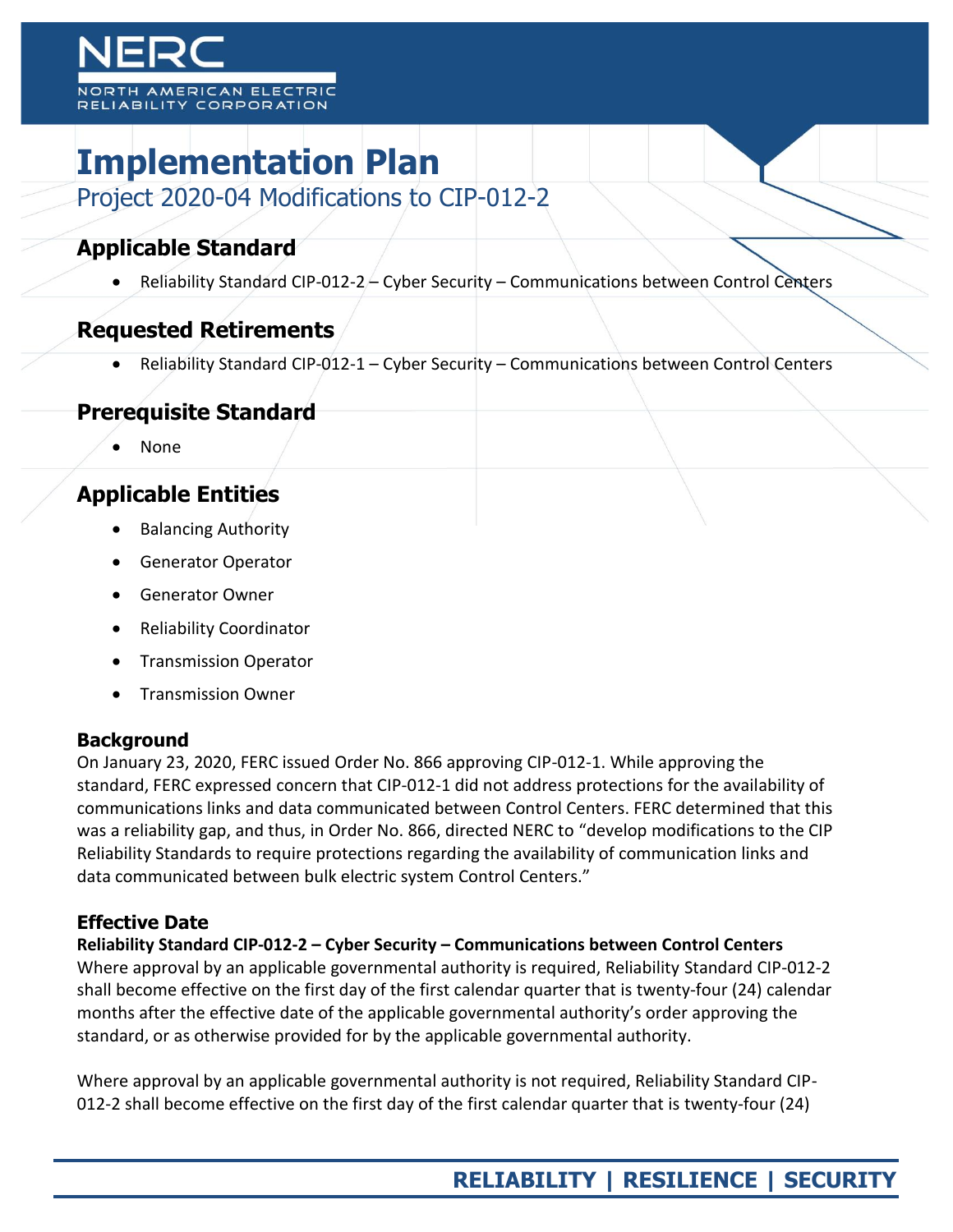# **Implementation Plan**

Project 2020-04 Modifications to CIP-012-2

### **Applicable Standard**

Reliability Standard CIP-012-2 $-$  Cyber Security – Communications between Control Centers

## **Requested Retirements**

Reliability Standard CIP-012-1 – Cyber Security – Communications between Control Centers

## **Prerequisite Standard**

None

# **Applicable Entities**

- Balancing Authority
- Generator Operator
- Generator Owner
- Reliability Coordinator
- Transmission Operator
- Transmission Owner

#### **Background**

On January 23, 2020, FERC issued Order No. 866 approving CIP-012-1. While approving the standard, FERC expressed concern that CIP-012-1 did not address protections for the availability of communications links and data communicated between Control Centers. FERC determined that this was a reliability gap, and thus, in Order No. 866, directed NERC to "develop modifications to the CIP Reliability Standards to require protections regarding the availability of communication links and data communicated between bulk electric system Control Centers."

#### **Effective Date**

**Reliability Standard CIP-012-2 – Cyber Security – Communications between Control Centers** Where approval by an applicable governmental authority is required, Reliability Standard CIP-012-2 shall become effective on the first day of the first calendar quarter that is twenty-four (24) calendar months after the effective date of the applicable governmental authority's order approving the standard, or as otherwise provided for by the applicable governmental authority.

Where approval by an applicable governmental authority is not required, Reliability Standard CIP-012-2 shall become effective on the first day of the first calendar quarter that is twenty-four (24)